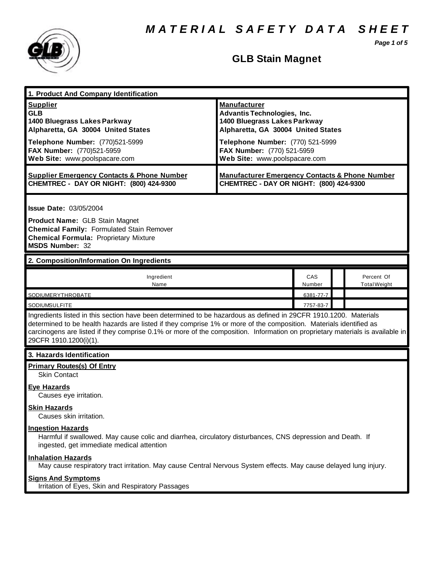*M A T E R I A L S A F E T Y D A T A S H E E T*

*Page 1 of 5*



# **GLB Stain Magnet**

| 1. Product And Company Identification                                                                                                                                                                                                                                                                                                                                                             |                                                                                                                                                                                                                                    |               |                                   |  |
|---------------------------------------------------------------------------------------------------------------------------------------------------------------------------------------------------------------------------------------------------------------------------------------------------------------------------------------------------------------------------------------------------|------------------------------------------------------------------------------------------------------------------------------------------------------------------------------------------------------------------------------------|---------------|-----------------------------------|--|
| <b>Supplier</b><br><b>GLB</b><br>1400 Bluegrass Lakes Parkway<br>Alpharetta, GA 30004 United States<br>Telephone Number: (770)521-5999<br>FAX Number: (770)521-5959<br>Web Site: www.poolspacare.com                                                                                                                                                                                              | <b>Manufacturer</b><br><b>Advantis Technologies, Inc.</b><br>1400 Bluegrass Lakes Parkway<br>Alpharetta, GA 30004 United States<br>Telephone Number: (770) 521-5999<br>FAX Number: (770) 521-5959<br>Web Site: www.poolspacare.com |               |                                   |  |
| <b>Supplier Emergency Contacts &amp; Phone Number</b><br>CHEMTREC - DAY OR NIGHT: (800) 424-9300                                                                                                                                                                                                                                                                                                  | <b>Manufacturer Emergency Contacts &amp; Phone Number</b><br>CHEMTREC - DAY OR NIGHT: (800) 424-9300                                                                                                                               |               |                                   |  |
| <b>Issue Date: 03/05/2004</b><br><b>Product Name: GLB Stain Magnet</b><br><b>Chemical Family: Formulated Stain Remover</b><br><b>Chemical Formula: Proprietary Mixture</b><br><b>MSDS Number: 32</b>                                                                                                                                                                                              |                                                                                                                                                                                                                                    |               |                                   |  |
| 2. Composition/Information On Ingredients                                                                                                                                                                                                                                                                                                                                                         |                                                                                                                                                                                                                                    |               |                                   |  |
| Ingredient<br>Name                                                                                                                                                                                                                                                                                                                                                                                |                                                                                                                                                                                                                                    | CAS<br>Number | Percent Of<br><b>Total Weight</b> |  |
| SODIUMERYTHROBATE                                                                                                                                                                                                                                                                                                                                                                                 |                                                                                                                                                                                                                                    | 6381-77-7     |                                   |  |
| <b>SODIUMSULFITE</b>                                                                                                                                                                                                                                                                                                                                                                              |                                                                                                                                                                                                                                    | 7757-83-7     |                                   |  |
| Ingredients listed in this section have been determined to be hazardous as defined in 29CFR 1910.1200. Materials<br>determined to be health hazards are listed if they comprise 1% or more of the composition. Materials identified as<br>carcinogens are listed if they comprise 0.1% or more of the composition. Information on proprietary materials is available in<br>29CFR 1910.1200(i)(1). |                                                                                                                                                                                                                                    |               |                                   |  |
| 3. Hazards Identification                                                                                                                                                                                                                                                                                                                                                                         |                                                                                                                                                                                                                                    |               |                                   |  |
| <b>Primary Routes(s) Of Entry</b><br><b>Skin Contact</b><br>Eye Hazards                                                                                                                                                                                                                                                                                                                           |                                                                                                                                                                                                                                    |               |                                   |  |
| Causes eye irritation.<br><b>Skin Hazards</b><br>Causes skin irritation.                                                                                                                                                                                                                                                                                                                          |                                                                                                                                                                                                                                    |               |                                   |  |
| <b>Ingestion Hazards</b><br>Harmful if swallowed. May cause colic and diarrhea, circulatory disturbances, CNS depression and Death. If<br>ingested, get immediate medical attention                                                                                                                                                                                                               |                                                                                                                                                                                                                                    |               |                                   |  |
| <b>Inhalation Hazards</b><br>May cause respiratory tract irritation. May cause Central Nervous System effects. May cause delayed lung injury.                                                                                                                                                                                                                                                     |                                                                                                                                                                                                                                    |               |                                   |  |
| <b>Signs And Symptoms</b><br>Irritation of Eyes, Skin and Respiratory Passages                                                                                                                                                                                                                                                                                                                    |                                                                                                                                                                                                                                    |               |                                   |  |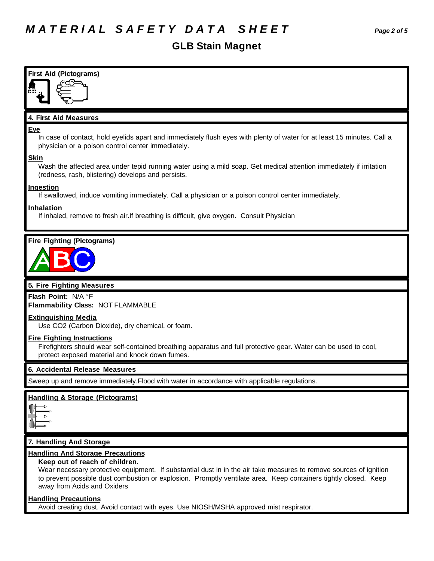# *M A T E R I A L S A F E T Y D A T A S H E E T Page 2 of 5*

# **GLB Stain Magnet**

| <b>First Aid (Pictograms)</b>                                                                                                                                                                                                                                                                                                                     |
|---------------------------------------------------------------------------------------------------------------------------------------------------------------------------------------------------------------------------------------------------------------------------------------------------------------------------------------------------|
|                                                                                                                                                                                                                                                                                                                                                   |
|                                                                                                                                                                                                                                                                                                                                                   |
| 4. First Aid Measures                                                                                                                                                                                                                                                                                                                             |
| <b>Eye</b><br>In case of contact, hold eyelids apart and immediately flush eyes with plenty of water for at least 15 minutes. Call a<br>physician or a poison control center immediately.                                                                                                                                                         |
| <b>Skin</b><br>Wash the affected area under tepid running water using a mild soap. Get medical attention immediately if irritation<br>(redness, rash, blistering) develops and persists.                                                                                                                                                          |
| <b>Ingestion</b><br>If swallowed, induce vomiting immediately. Call a physician or a poison control center immediately.                                                                                                                                                                                                                           |
| <b>Inhalation</b><br>If inhaled, remove to fresh air. If breathing is difficult, give oxygen. Consult Physician                                                                                                                                                                                                                                   |
|                                                                                                                                                                                                                                                                                                                                                   |
| <b>Fire Fighting (Pictograms)</b>                                                                                                                                                                                                                                                                                                                 |
| 5. Fire Fighting Measures                                                                                                                                                                                                                                                                                                                         |
| Flash Point: N/A °F<br>Flammability Class: NOT FLAMMABLE                                                                                                                                                                                                                                                                                          |
| <b>Extinguishing Media</b><br>Use CO2 (Carbon Dioxide), dry chemical, or foam.                                                                                                                                                                                                                                                                    |
| <b>Fire Fighting Instructions</b><br>Firefighters should wear self-contained breathing apparatus and full protective gear. Water can be used to cool,<br>protect exposed material and knock down fumes.                                                                                                                                           |
| 6. Accidental Release Measures                                                                                                                                                                                                                                                                                                                    |
| Sweep up and remove immediately. Flood with water in accordance with applicable regulations.                                                                                                                                                                                                                                                      |
| <b>Handling &amp; Storage (Pictograms)</b>                                                                                                                                                                                                                                                                                                        |
| 7. Handling And Storage                                                                                                                                                                                                                                                                                                                           |
| <b>Handling And Storage Precautions</b><br>Keep out of reach of children.<br>Wear necessary protective equipment. If substantial dust in in the air take measures to remove sources of ignition<br>to prevent possible dust combustion or explosion. Promptly ventilate area. Keep containers tightly closed. Keep<br>away from Acids and Oxiders |
| <b>Handling Precautions</b><br>Avoid creating dust. Avoid contact with eyes. Use NIOSH/MSHA approved mist respirator.                                                                                                                                                                                                                             |
|                                                                                                                                                                                                                                                                                                                                                   |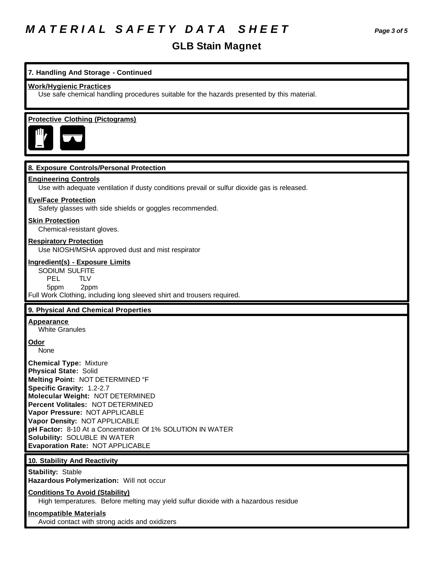# *M A T E R I A L S A F E T Y D A T A S H E E T Page 3 of 5*

# **GLB Stain Magnet**

## **7. Handling And Storage - Continued**

#### **Work/Hygienic Practices**

Use safe chemical handling procedures suitable for the hazards presented by this material.

### **Protective Clothing (Pictograms)**



#### **8. Exposure Controls/Personal Protection**

#### **Engineering Controls**

Use with adequate ventilation if dusty conditions prevail or sulfur dioxide gas is released.

#### **Eye/Face Protection**

Safety glasses with side shields or goggles recommended.

#### **Skin Protection**

Chemical-resistant gloves.

### **Respiratory Protection**

Use NIOSH/MSHA approved dust and mist respirator

#### **Ingredient(s) - Exposure Limits**

SODIUM SULFITE PEL TLV 5ppm 2ppm Full Work Clothing, including long sleeved shirt and trousers required.

#### **9. Physical And Chemical Properties**

# **Appearance**

White Granules

### **Odor**

None

**Chemical Type:** Mixture **Physical State:** Solid **Melting Point:** NOT DETERMINED °F **Specific Gravity:** 1.2-2.7 **Molecular Weight:** NOT DETERMINED **Percent Volitales:** NOT DETERMINED **Vapor Pressure:** NOT APPLICABLE **Vapor Density:** NOT APPLICABLE **pH Factor:** 8-10 At a Concentration Of 1% SOLUTION IN WATER **Solubility:** SOLUBLE IN WATER **Evaporation Rate:** NOT APPLICABLE

### **10. Stability And Reactivity**

**Stability:** Stable **Hazardous Polymerization:** Will not occur

#### **Conditions To Avoid (Stability)**

High temperatures. Before melting may yield sulfur dioxide with a hazardous residue

## **Incompatible Materials** Avoid contact with strong acids and oxidizers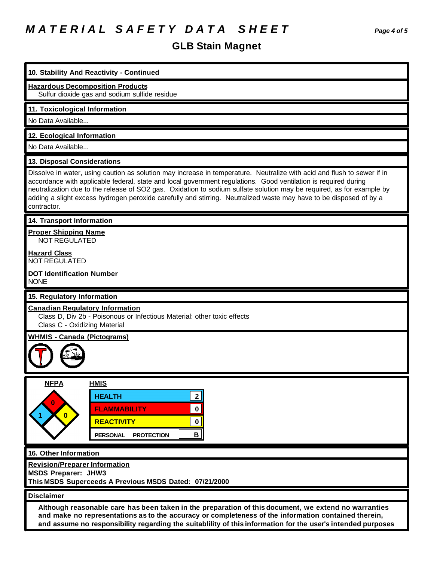# *M A T E R I A L S A F E T Y D A T A S H E E T Page 4 of 5*

# **GLB Stain Magnet**

| LD VWIII IIIU JIIV (                                                                                                                                                                                                                                                                                                                                                                                                                                                                                     |
|----------------------------------------------------------------------------------------------------------------------------------------------------------------------------------------------------------------------------------------------------------------------------------------------------------------------------------------------------------------------------------------------------------------------------------------------------------------------------------------------------------|
| 10. Stability And Reactivity - Continued                                                                                                                                                                                                                                                                                                                                                                                                                                                                 |
| <b>Hazardous Decomposition Products</b><br>Sulfur dioxide gas and sodium sulfide residue                                                                                                                                                                                                                                                                                                                                                                                                                 |
| 11. Toxicological Information                                                                                                                                                                                                                                                                                                                                                                                                                                                                            |
| No Data Available                                                                                                                                                                                                                                                                                                                                                                                                                                                                                        |
| 12. Ecological Information                                                                                                                                                                                                                                                                                                                                                                                                                                                                               |
| No Data Available                                                                                                                                                                                                                                                                                                                                                                                                                                                                                        |
| 13. Disposal Considerations                                                                                                                                                                                                                                                                                                                                                                                                                                                                              |
| Dissolve in water, using caution as solution may increase in temperature. Neutralize with acid and flush to sewer if in<br>accordance with applicable federal, state and local government regulations. Good ventilation is required during<br>neutralization due to the release of SO2 gas. Oxidation to sodium sulfate solution may be required, as for example by<br>adding a slight excess hydrogen peroxide carefully and stirring. Neutralized waste may have to be disposed of by a<br>contractor. |
| 14. Transport Information                                                                                                                                                                                                                                                                                                                                                                                                                                                                                |
| <b>Proper Shipping Name</b><br><b>NOT REGULATED</b>                                                                                                                                                                                                                                                                                                                                                                                                                                                      |
| <b>Hazard Class</b><br><b>NOT REGULATED</b>                                                                                                                                                                                                                                                                                                                                                                                                                                                              |
| <b>DOT Identification Number</b><br><b>NONE</b>                                                                                                                                                                                                                                                                                                                                                                                                                                                          |
| 15. Regulatory Information                                                                                                                                                                                                                                                                                                                                                                                                                                                                               |
| <b>Canadian Regulatory Information</b><br>Class D, Div 2b - Poisonous or Infectious Material: other toxic effects<br>Class C - Oxidizing Material                                                                                                                                                                                                                                                                                                                                                        |
| <b>WHMIS - Canada (Pictograms)</b>                                                                                                                                                                                                                                                                                                                                                                                                                                                                       |
| <b>NFPA</b><br><b>HMIS</b><br>2 <br><b>HEALTH</b><br>0<br>0<br><b>FLAMMABILITY</b><br>$\mathbf{0}$<br><b>REACTIVITY</b><br>0<br>$\mathbf{B}$<br><b>PERSONAL</b><br><b>PROTECTION</b>                                                                                                                                                                                                                                                                                                                     |
| 16. Other Information                                                                                                                                                                                                                                                                                                                                                                                                                                                                                    |
| <b>Revision/Preparer Information</b><br><b>MSDS Preparer: JHW3</b><br>This MSDS Superceeds A Previous MSDS Dated: 07/21/2000                                                                                                                                                                                                                                                                                                                                                                             |
| <b>Disclaimer</b>                                                                                                                                                                                                                                                                                                                                                                                                                                                                                        |
| Although reasonable care has been taken in the preparation of this document, we extend no warranties<br>and make no representations as to the accuracy or completeness of the information contained therein,<br>and assume no responsibility regarding the suitablility of this information for the user's intended purposes                                                                                                                                                                             |